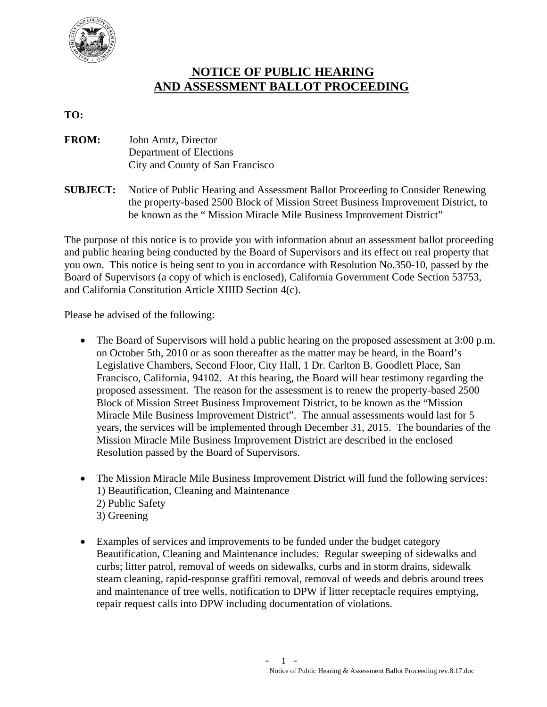

## **NOTICE OF PUBLIC HEARING AND ASSESSMENT BALLOT PROCEEDING**

## **TO:**

- **FROM:** John Arntz, Director Department of Elections City and County of San Francisco
- **SUBJECT:** Notice of Public Hearing and Assessment Ballot Proceeding to Consider Renewing the property-based 2500 Block of Mission Street Business Improvement District, to be known as the " Mission Miracle Mile Business Improvement District"

The purpose of this notice is to provide you with information about an assessment ballot proceeding and public hearing being conducted by the Board of Supervisors and its effect on real property that you own. This notice is being sent to you in accordance with Resolution No.350-10, passed by the Board of Supervisors (a copy of which is enclosed), California Government Code Section 53753, and California Constitution Article XIIID Section 4(c).

Please be advised of the following:

- The Board of Supervisors will hold a public hearing on the proposed assessment at 3:00 p.m. on October 5th, 2010 or as soon thereafter as the matter may be heard, in the Board's Legislative Chambers, Second Floor, City Hall, 1 Dr. Carlton B. Goodlett Place, San Francisco, California, 94102. At this hearing, the Board will hear testimony regarding the proposed assessment. The reason for the assessment is to renew the property-based 2500 Block of Mission Street Business Improvement District, to be known as the "Mission Miracle Mile Business Improvement District". The annual assessments would last for 5 years, the services will be implemented through December 31, 2015. The boundaries of the Mission Miracle Mile Business Improvement District are described in the enclosed Resolution passed by the Board of Supervisors.
- The Mission Miracle Mile Business Improvement District will fund the following services: 1) Beautification, Cleaning and Maintenance 2) Public Safety 3) Greening
- Examples of services and improvements to be funded under the budget category Beautification, Cleaning and Maintenance includes:Regular sweeping of sidewalks and curbs; litter patrol, removal of weeds on sidewalks, curbs and in storm drains, sidewalk steam cleaning, rapid-response graffiti removal, removal of weeds and debris around trees and maintenance of tree wells, notification to DPW if litter receptacle requires emptying, repair request calls into DPW including documentation of violations.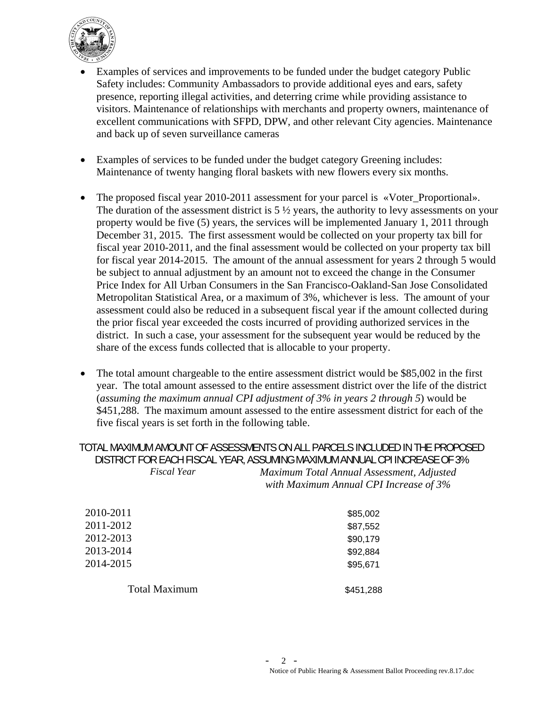

- Examples of services and improvements to be funded under the budget category Public Safety includes: Community Ambassadors to provide additional eyes and ears, safety presence, reporting illegal activities, and deterring crime while providing assistance to visitors. Maintenance of relationships with merchants and property owners, maintenance of excellent communications with SFPD, DPW, and other relevant City agencies. Maintenance and back up of seven surveillance cameras
- Examples of services to be funded under the budget category Greening includes: Maintenance of twenty hanging floral baskets with new flowers every six months.
- The proposed fiscal year 2010-2011 assessment for your parcel is «Voter\_Proportional». The duration of the assessment district is  $5\frac{1}{2}$  years, the authority to levy assessments on your property would be five (5) years, the services will be implemented January 1, 2011 through December 31, 2015. The first assessment would be collected on your property tax bill for fiscal year 2010-2011, and the final assessment would be collected on your property tax bill for fiscal year 2014-2015. The amount of the annual assessment for years 2 through 5 would be subject to annual adjustment by an amount not to exceed the change in the Consumer Price Index for All Urban Consumers in the San Francisco-Oakland-San Jose Consolidated Metropolitan Statistical Area, or a maximum of 3%, whichever is less. The amount of your assessment could also be reduced in a subsequent fiscal year if the amount collected during the prior fiscal year exceeded the costs incurred of providing authorized services in the district. In such a case, your assessment for the subsequent year would be reduced by the share of the excess funds collected that is allocable to your property.
- The total amount chargeable to the entire assessment district would be \$85,002 in the first year. The total amount assessed to the entire assessment district over the life of the district (*assuming the maximum annual CPI adjustment of 3% in years 2 through 5*) would be \$451,288. The maximum amount assessed to the entire assessment district for each of the five fiscal years is set forth in the following table.

TOTAL MAXIMUM AMOUNT OF ASSESSMENTS ON ALL PARCELS INCLUDED IN THE PROPOSED DISTRICT FOR EACH FISCAL YEAR, ASSUMING MAXIMUM ANNUAL CPI INCREASE OF 3% *Fiscal Year Maximum Total Annual Assessment, Adjusted with Maximum Annual CPI Increase of 3%*

| 2010-2011            | \$85,002  |
|----------------------|-----------|
| 2011-2012            | \$87,552  |
| 2012-2013            | \$90,179  |
| 2013-2014            | \$92,884  |
| 2014-2015            | \$95,671  |
| <b>Total Maximum</b> | \$451,288 |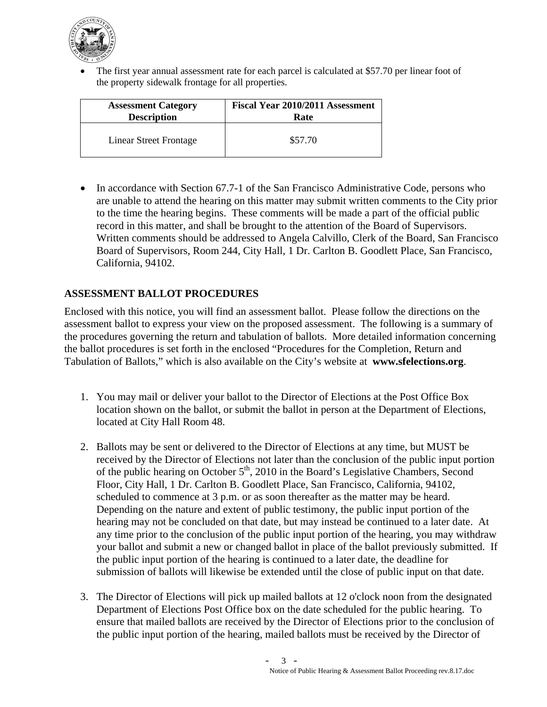

 The first year annual assessment rate for each parcel is calculated at \$57.70 per linear foot of the property sidewalk frontage for all properties.

| <b>Assessment Category</b> | Fiscal Year 2010/2011 Assessment |
|----------------------------|----------------------------------|
| <b>Description</b>         | Rate                             |
| Linear Street Frontage     | \$57.70                          |

• In accordance with Section 67.7-1 of the San Francisco Administrative Code, persons who are unable to attend the hearing on this matter may submit written comments to the City prior to the time the hearing begins. These comments will be made a part of the official public record in this matter, and shall be brought to the attention of the Board of Supervisors. Written comments should be addressed to Angela Calvillo, Clerk of the Board, San Francisco Board of Supervisors, Room 244, City Hall, 1 Dr. Carlton B. Goodlett Place, San Francisco, California, 94102.

## **ASSESSMENT BALLOT PROCEDURES**

Enclosed with this notice, you will find an assessment ballot. Please follow the directions on the assessment ballot to express your view on the proposed assessment. The following is a summary of the procedures governing the return and tabulation of ballots. More detailed information concerning the ballot procedures is set forth in the enclosed "Procedures for the Completion, Return and Tabulation of Ballots," which is also available on the City's website at **www.sfelections.org**.

- 1. You may mail or deliver your ballot to the Director of Elections at the Post Office Box location shown on the ballot, or submit the ballot in person at the Department of Elections, located at City Hall Room 48.
- 2. Ballots may be sent or delivered to the Director of Elections at any time, but MUST be received by the Director of Elections not later than the conclusion of the public input portion of the public hearing on October 5<sup>th</sup>, 2010 in the Board's Legislative Chambers, Second Floor, City Hall, 1 Dr. Carlton B. Goodlett Place, San Francisco, California, 94102, scheduled to commence at 3 p.m. or as soon thereafter as the matter may be heard. Depending on the nature and extent of public testimony, the public input portion of the hearing may not be concluded on that date, but may instead be continued to a later date. At any time prior to the conclusion of the public input portion of the hearing, you may withdraw your ballot and submit a new or changed ballot in place of the ballot previously submitted. If the public input portion of the hearing is continued to a later date, the deadline for submission of ballots will likewise be extended until the close of public input on that date.
- 3. The Director of Elections will pick up mailed ballots at 12 o'clock noon from the designated Department of Elections Post Office box on the date scheduled for the public hearing. To ensure that mailed ballots are received by the Director of Elections prior to the conclusion of the public input portion of the hearing, mailed ballots must be received by the Director of